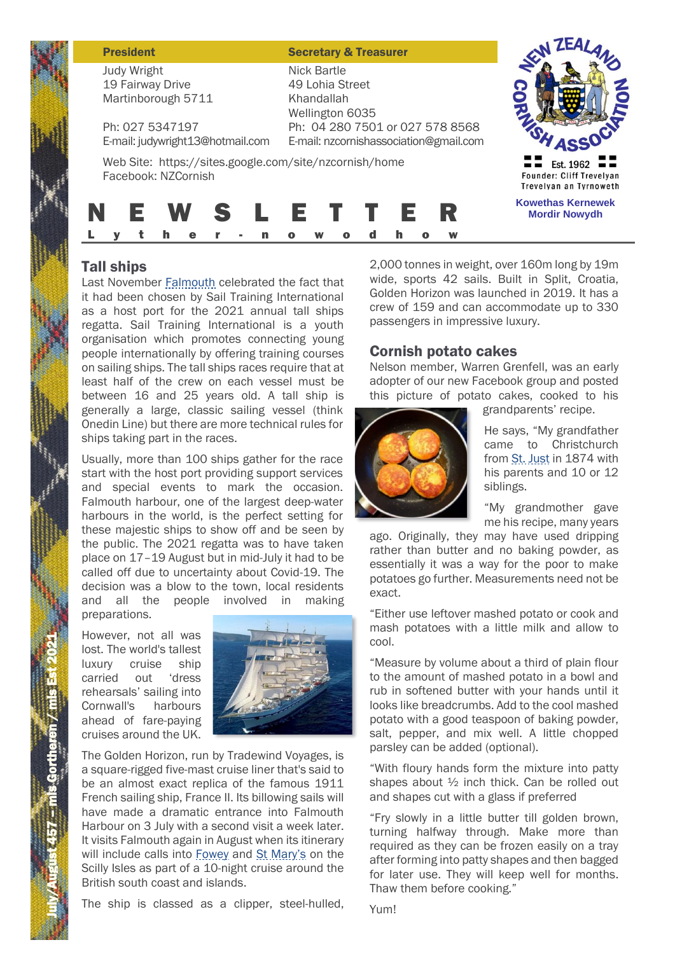#### **President Secretary & Treasurer**

Judy Wright 19 Fairway Drive Martinborough 5711

Ph: 027 5347197 E-mail: judywright13@hotmail.com

E-mail: nzcornishassociation@gmail.com Web Site: https://sites.google.com/site/nzcornish/home Facebook: NZCornish

Nick Bartle 49 Lohia Street Khandallah Wellington 6035

Ph: 04 280 7501 or 027 578 8568



# N E W S L E T T E R  $L \rightarrow V$  t

# Tall ships

Last November Falmouth celebrated the fact that it had been chosen by Sail Training International as a host port for the 2021 annual tall ships regatta. Sail Training International is a youth organisation which promotes connecting young people internationally by offering training courses on sailing ships. The tall ships races require that at least half of the crew on each vessel must be between 16 and 25 years old. A tall ship is generally a large, classic sailing vessel (think Onedin Line) but there are more technical rules for ships taking part in the races.

Usually, more than 100 ships gather for the race start with the host port providing support services and special events to mark the occasion. Falmouth harbour, one of the largest deep-water harbours in the world, is the perfect setting for these majestic ships to show off and be seen by the public. The 2021 regatta was to have taken place on 17–19 August but in mid-July it had to be called off due to uncertainty about Covid-19. The decision was a blow to the town, local residents and all the people involved in making preparations.

However, not all was lost. The world's tallest luxury cruise ship carried out 'dress rehearsals' sailing into Cornwall's harbours ahead of fare-paying cruises around the UK.



The Golden Horizon, run by Tradewind Voyages, is a square-rigged five-mast cruise liner that's said to be an almost exact replica of the famous 1911 French sailing ship, France II. Its billowing sails will have made a dramatic entrance into Falmouth Harbour on 3 July with a second visit a week later. It visits Falmouth again in August when its itinerary will include calls into Fowey and St Mary's on the Scilly Isles as part of a 10-night cruise around the British south coast and islands.

The ship is classed as a clipper, steel-hulled,

2,000 tonnes in weight, over 160m long by 19m wide, sports 42 sails. Built in Split, Croatia, Golden Horizon was launched in 2019. It has a crew of 159 and can accommodate up to 330 passengers in impressive luxury.

### Cornish potato cakes

Nelson member, Warren Grenfell, was an early adopter of our new Facebook group and posted this picture of potato cakes, cooked to his



grandparents' recipe.

He says, "My grandfather came to Christchurch from St. Just in 1874 with his parents and 10 or 12 siblings.

"My grandmother gave me his recipe, many years

ago. Originally, they may have used dripping rather than butter and no baking powder, as essentially it was a way for the poor to make potatoes go further. Measurements need not be exact.

"Either use leftover mashed potato or cook and mash potatoes with a little milk and allow to cool.

"Measure by volume about a third of plain flour to the amount of mashed potato in a bowl and rub in softened butter with your hands until it looks like breadcrumbs. Add to the cool mashed potato with a good teaspoon of baking powder, salt, pepper, and mix well. A little chopped parsley can be added (optional).

"With floury hands form the mixture into patty shapes about ½ inch thick. Can be rolled out and shapes cut with a glass if preferred

"Fry slowly in a little butter till golden brown, turning halfway through. Make more than required as they can be frozen easily on a tray after forming into patty shapes and then bagged for later use. They will keep well for months. Thaw them before cooking."

Yum!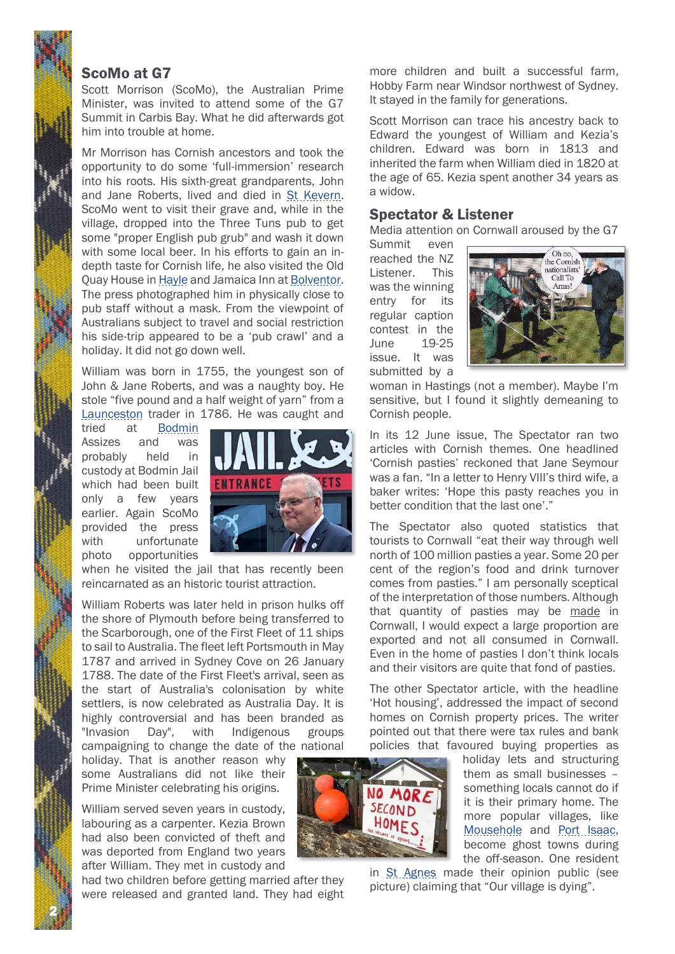#### ScoMo at G7

Scott Morrison (ScoMo), the Australian Prime Minister, was invited to attend some of the G7 Summit in Carbis Bay. What he did afterwards got him into trouble at home.

Mr Morrison has Cornish ancestors and took the opportunity to do some 'full-immersion' research into his roots. His sixth-great grandparents, John and Jane Roberts, lived and died in St Kevern. ScoMo went to visit their grave and, while in the village, dropped into the Three Tuns pub to get some "proper English pub grub" and wash it down with some local beer. In his efforts to gain an indepth taste for Cornish life, he also visited the Old Quay House in Hayle and Jamaica Inn at Bolventor. The press photographed him in physically close to pub staff without a mask. From the viewpoint of Australians subject to travel and social restriction his side-trip appeared to be a 'pub crawl' and a holiday. It did not go down well.

William was born in 1755, the youngest son of John & Jane Roberts, and was a naughty boy. He stole "five pound and a half weight of yarn" from a Launceston trader in 1786. He was caught and

tried at Bodmin Assizes and was probably held in custody at Bodmin Jail which had been built only a few years earlier. Again ScoMo provided the press with unfortunate photo opportunities



when he visited the jail that has recently been reincarnated as an historic tourist attraction.

William Roberts was later held in prison hulks off the shore of Plymouth before being transferred to the Scarborough, one of the First Fleet of 11 ships to sail to Australia. The fleet left Portsmouth in May 1787 and arrived in Sydney Cove on 26 January 1788. The date of the First Fleet's arrival, seen as the start of Australia's colonisation by white settlers, is now celebrated as Australia Day. It is highly controversial and has been branded as "Invasion Day", with Indigenous groups campaigning to change the date of the national

holiday. That is another reason why some Australians did not like their Prime Minister celebrating his origins.

William served seven years in custody, labouring as a carpenter. Kezia Brown had also been convicted of theft and was deported from England two years after William. They met in custody and

2

had two children before getting married after they were released and granted land. They had eight more children and built a successful farm, Hobby Farm near Windsor northwest of Sydney. It stayed in the family for generations.

Scott Morrison can trace his ancestry back to Edward the youngest of William and Kezia's children. Edward was born in 1813 and inherited the farm when William died in 1820 at the age of 65. Kezia spent another 34 years as a widow.

### Spectator & Listener

Media attention on Cornwall aroused by the G7

Summit even reached the NZ Listener. This was the winning entry for its regular caption contest in the June 19-25 issue. It was submitted by a

NO MORE SECOND HOMES



woman in Hastings (not a member). Maybe I'm sensitive, but I found it slightly demeaning to Cornish people.

In its 12 June issue, The Spectator ran two articles with Cornish themes. One headlined 'Cornish pasties' reckoned that Jane Seymour was a fan. "In a letter to Henry VIII's third wife, a baker writes: 'Hope this pasty reaches you in better condition that the last one'."

The Spectator also quoted statistics that tourists to Cornwall "eat their way through well north of 100 million pasties a year. Some 20 per cent of the region's food and drink turnover comes from pasties." I am personally sceptical of the interpretation of those numbers. Although that quantity of pasties may be made in Cornwall, I would expect a large proportion are exported and not all consumed in Cornwall. Even in the home of pasties I don't think locals and their visitors are quite that fond of pasties.

The other Spectator article, with the headline 'Hot housing', addressed the impact of second homes on Cornish property prices. The writer pointed out that there were tax rules and bank policies that favoured buying properties as

holiday lets and structuring them as small businesses – something locals cannot do if it is their primary home. The more popular villages, like Mousehole and Port Isaac, become ghost towns during the off-season. One resident

in St Agnes made their opinion public (see picture) claiming that "Our village is dying".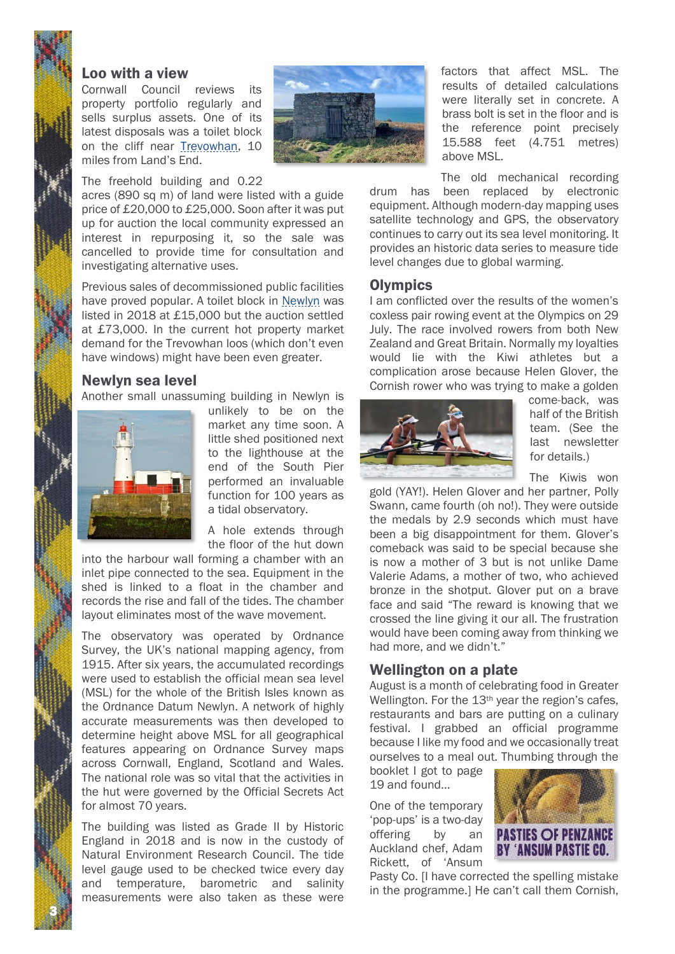### Loo with a view

Cornwall Council reviews its property portfolio regularly and sells surplus assets. One of its latest disposals was a toilet block on the cliff near Trevowhan, 10 miles from Land's End.



#### The freehold building and 0.22

acres (890 sq m) of land were listed with a guide price of £20,000 to £25,000. Soon after it was put up for auction the local community expressed an interest in repurposing it, so the sale was cancelled to provide time for consultation and investigating alternative uses.

Previous sales of decommissioned public facilities have proved popular. A toilet block in Newlyn was listed in 2018 at £15,000 but the auction settled at £73,000. In the current hot property market demand for the Trevowhan loos (which don't even have windows) might have been even greater.

#### Newlyn sea level

Another small unassuming building in Newlyn is



3

unlikely to be on the market any time soon. A little shed positioned next to the lighthouse at the end of the South Pier performed an invaluable function for 100 years as a tidal observatory.

A hole extends through the floor of the hut down

into the harbour wall forming a chamber with an inlet pipe connected to the sea. Equipment in the shed is linked to a float in the chamber and records the rise and fall of the tides. The chamber layout eliminates most of the wave movement.

The observatory was operated by Ordnance Survey, the UK's national mapping agency, from 1915. After six years, the accumulated recordings were used to establish the official mean sea level (MSL) for the whole of the British Isles known as the Ordnance Datum Newlyn. A network of highly accurate measurements was then developed to determine height above MSL for all geographical features appearing on Ordnance Survey maps across Cornwall, England, Scotland and Wales. The national role was so vital that the activities in the hut were governed by the Official Secrets Act for almost 70 years.

The building was listed as Grade II by Historic England in 2018 and is now in the custody of Natural Environment Research Council. The tide level gauge used to be checked twice every day and temperature, barometric and salinity measurements were also taken as these were

factors that affect MSL. The results of detailed calculations were literally set in concrete. A brass bolt is set in the floor and is the reference point precisely 15.588 feet (4.751 metres) above MSL.

The old mechanical recording drum has been replaced by electronic equipment. Although modern-day mapping uses satellite technology and GPS, the observatory continues to carry out its sea level monitoring. It provides an historic data series to measure tide level changes due to global warming.

#### **Olympics**

I am conflicted over the results of the women's coxless pair rowing event at the Olympics on 29 July. The race involved rowers from both New Zealand and Great Britain. Normally my loyalties would lie with the Kiwi athletes but a complication arose because Helen Glover, the Cornish rower who was trying to make a golden



come-back, was half of the British team. (See the last newsletter for details.)

The Kiwis won

gold (YAY!). Helen Glover and her partner, Polly Swann, came fourth (oh no!). They were outside the medals by 2.9 seconds which must have been a big disappointment for them. Glover's comeback was said to be special because she is now a mother of 3 but is not unlike Dame Valerie Adams, a mother of two, who achieved bronze in the shotput. Glover put on a brave face and said "The reward is knowing that we crossed the line giving it our all. The frustration would have been coming away from thinking we had more, and we didn't."

### Wellington on a plate

August is a month of celebrating food in Greater Wellington. For the 13<sup>th</sup> year the region's cafes, restaurants and bars are putting on a culinary festival. I grabbed an official programme because I like my food and we occasionally treat ourselves to a meal out. Thumbing through the

booklet I got to page 19 and found…

One of the temporary 'pop-ups' is a two-day offering by an Auckland chef, Adam Rickett, of 'Ansum



Pasty Co. [I have corrected the spelling mistake in the programme.] He can't call them Cornish,